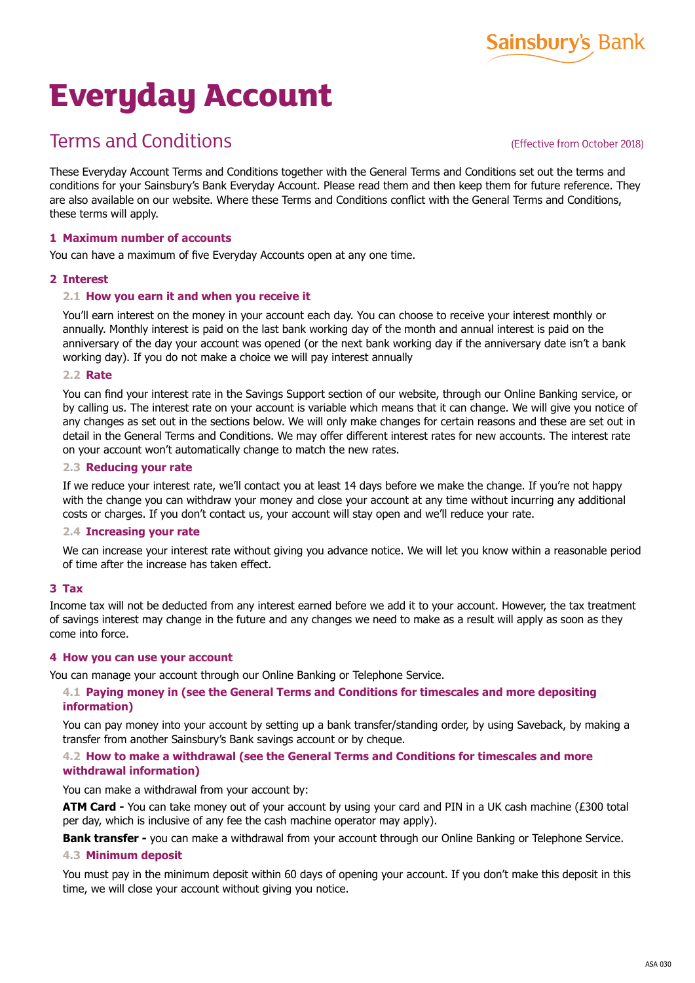

# **Everyday Account**

# Terms and Conditions

(Effective from October 2018)

These Everyday Account Terms and Conditions together with the General Terms and Conditions set out the terms and conditions for your Sainsbury's Bank Everyday Account. Please read them and then keep them for future reference. They are also available on our website. Where these Terms and Conditions conflict with the General Terms and Conditions, these terms will apply.

# **1 Maximum number of accounts**

You can have a maximum of five Everyday Accounts open at any one time.

#### **2 Interest**

#### **2.1 How you earn it and when you receive it**

You'll earn interest on the money in your account each day. You can choose to receive your interest monthly or annually. Monthly interest is paid on the last bank working day of the month and annual interest is paid on the anniversary of the day your account was opened (or the next bank working day if the anniversary date isn't a bank working day). If you do not make a choice we will pay interest annually

#### **2.2 Rate**

You can find your interest rate in the Savings Support section of our website, through our Online Banking service, or by calling us. The interest rate on your account is variable which means that it can change. We will give you notice of any changes as set out in the sections below. We will only make changes for certain reasons and these are set out in detail in the General Terms and Conditions. We may offer different interest rates for new accounts. The interest rate on your account won't automatically change to match the new rates.

#### **2.3 Reducing your rate**

If we reduce your interest rate, we'll contact you at least 14 days before we make the change. If you're not happy with the change you can withdraw your money and close your account at any time without incurring any additional costs or charges. If you don't contact us, your account will stay open and we'll reduce your rate.

#### **2.4 Increasing your rate**

We can increase your interest rate without giving you advance notice. We will let you know within a reasonable period of time after the increase has taken effect.

# **3 Tax**

Income tax will not be deducted from any interest earned before we add it to your account. However, the tax treatment of savings interest may change in the future and any changes we need to make as a result will apply as soon as they come into force.

# **4 How you can use your account**

You can manage your account through our Online Banking or Telephone Service.

#### **4.1 Paying money in (see the General Terms and Conditions for timescales and more depositing information)**

You can pay money into your account by setting up a bank transfer/standing order, by using Saveback, by making a transfer from another Sainsbury's Bank savings account or by cheque.

# **4.2 How to make a withdrawal (see the General Terms and Conditions for timescales and more withdrawal information)**

You can make a withdrawal from your account by:

**ATM Card -** You can take money out of your account by using your card and PIN in a UK cash machine (£300 total per day, which is inclusive of any fee the cash machine operator may apply).

**Bank transfer -** you can make a withdrawal from your account through our Online Banking or Telephone Service.

# **4.3 Minimum deposit**

You must pay in the minimum deposit within 60 days of opening your account. If you don't make this deposit in this time, we will close your account without giving you notice.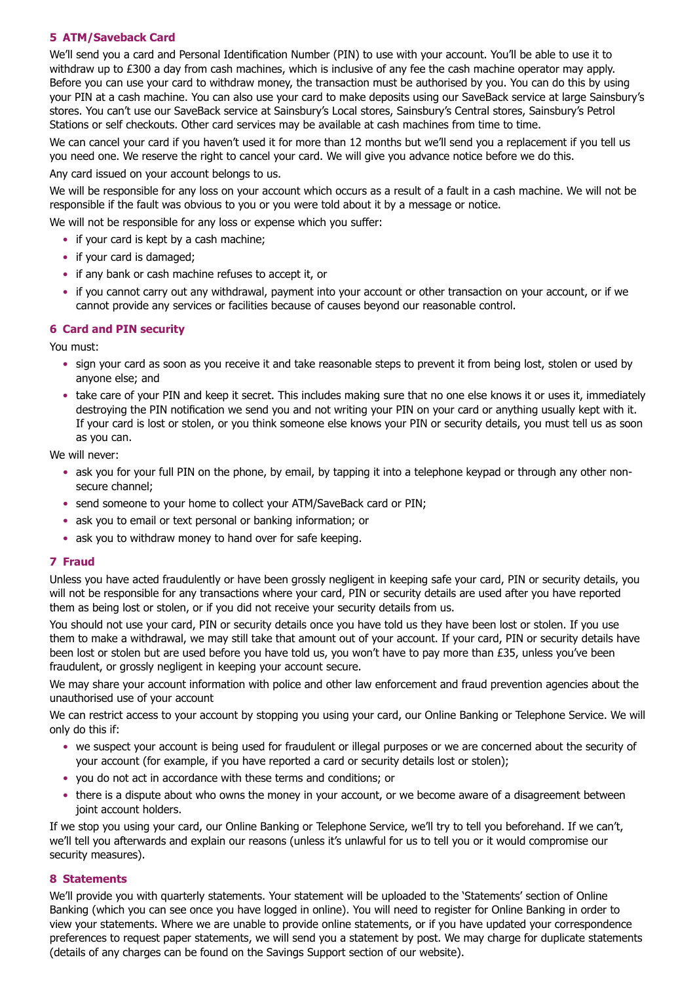# **5 ATM/Saveback Card**

We'll send you a card and Personal Identification Number (PIN) to use with your account. You'll be able to use it to withdraw up to £300 a day from cash machines, which is inclusive of any fee the cash machine operator may apply. Before you can use your card to withdraw money, the transaction must be authorised by you. You can do this by using your PIN at a cash machine. You can also use your card to make deposits using our SaveBack service at large Sainsbury's stores. You can't use our SaveBack service at Sainsbury's Local stores, Sainsbury's Central stores, Sainsbury's Petrol Stations or self checkouts. Other card services may be available at cash machines from time to time.

We can cancel your card if you haven't used it for more than 12 months but we'll send you a replacement if you tell us you need one. We reserve the right to cancel your card. We will give you advance notice before we do this.

Any card issued on your account belongs to us.

We will be responsible for any loss on your account which occurs as a result of a fault in a cash machine. We will not be responsible if the fault was obvious to you or you were told about it by a message or notice.

We will not be responsible for any loss or expense which you suffer:

- if your card is kept by a cash machine:
- if your card is damaged;
- if any bank or cash machine refuses to accept it, or
- if you cannot carry out any withdrawal, payment into your account or other transaction on your account, or if we cannot provide any services or facilities because of causes beyond our reasonable control.

# **6 Card and PIN security**

You must:

- sign your card as soon as you receive it and take reasonable steps to prevent it from being lost, stolen or used by anyone else; and
- take care of your PIN and keep it secret. This includes making sure that no one else knows it or uses it, immediately destroying the PIN notification we send you and not writing your PIN on your card or anything usually kept with it. If your card is lost or stolen, or you think someone else knows your PIN or security details, you must tell us as soon as you can.

We will never:

- ask you for your full PIN on the phone, by email, by tapping it into a telephone keypad or through any other nonsecure channel;
- send someone to your home to collect your ATM/SaveBack card or PIN;
- ask you to email or text personal or banking information; or
- ask you to withdraw money to hand over for safe keeping.

# **7 Fraud**

Unless you have acted fraudulently or have been grossly negligent in keeping safe your card, PIN or security details, you will not be responsible for any transactions where your card, PIN or security details are used after you have reported them as being lost or stolen, or if you did not receive your security details from us.

You should not use your card, PIN or security details once you have told us they have been lost or stolen. If you use them to make a withdrawal, we may still take that amount out of your account. If your card, PIN or security details have been lost or stolen but are used before you have told us, you won't have to pay more than £35, unless you've been fraudulent, or grossly negligent in keeping your account secure.

We may share your account information with police and other law enforcement and fraud prevention agencies about the unauthorised use of your account

We can restrict access to your account by stopping you using your card, our Online Banking or Telephone Service. We will only do this if:

- we suspect your account is being used for fraudulent or illegal purposes or we are concerned about the security of your account (for example, if you have reported a card or security details lost or stolen);
- you do not act in accordance with these terms and conditions; or
- there is a dispute about who owns the money in your account, or we become aware of a disagreement between joint account holders.

If we stop you using your card, our Online Banking or Telephone Service, we'll try to tell you beforehand. If we can't, we'll tell you afterwards and explain our reasons (unless it's unlawful for us to tell you or it would compromise our security measures).

#### **8 Statements**

We'll provide you with quarterly statements. Your statement will be uploaded to the 'Statements' section of Online Banking (which you can see once you have logged in online). You will need to register for Online Banking in order to view your statements. Where we are unable to provide online statements, or if you have updated your correspondence preferences to request paper statements, we will send you a statement by post. We may charge for duplicate statements (details of any charges can be found on the Savings Support section of our website).